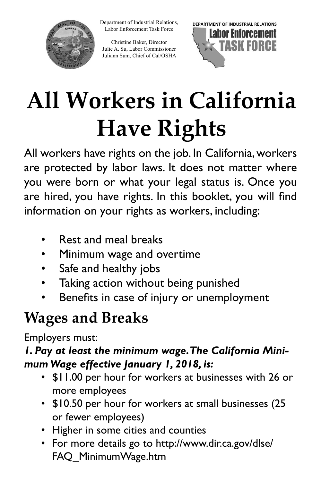Department of Industrial Relations, Labor Enforcement Task Force



Christine Baker, Director Julie A. Su, Labor Commissioner Juliann Sum, Chief of Cal/OSHA



# **All Workers in California Have Rights**

 All workers have rights on the job. In California, workers are hired, you have rights. In this booklet, you will find are protected by labor laws. It does not matter where you were born or what your legal status is. Once you information on your rights as workers, including:

- Rest and meal breaks
- Minimum wage and overtime
- Safe and healthy jobs
- Taking action without being punished
- Benefits in case of injury or unemployment

# **Wages and Breaks**

Employers must:

### *1. Pay at least the minimum wage.The California Minimum Wage effective January 1, 2018, is:*

- \$11.00 per hour for workers at businesses with 26 or more employees
- \$10.50 per hour for workers at small businesses (25 or fewer employees)
- Higher in some cities and counties
- For more details go to http://www.dir.ca.gov/dlse/ FAQ\_MinimumWage.htm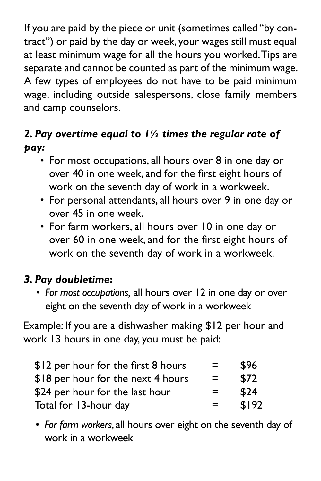wage, including outside salespersons, close family members If you are paid by the piece or unit (sometimes called "by contract") or paid by the day or week, your wages still must equal at least minimum wage for all the hours you worked.Tips are separate and cannot be counted as part of the minimum wage. A few types of employees do not have to be paid minimum and camp counselors.

### *2. Pay overtime equal to 1½ times the regular rate of pay:*

- For most occupations, all hours over 8 in one day or over 40 in one week, and for the first eight hours of work on the seventh day of work in a workweek.
- For personal attendants, all hours over 9 in one day or over 45 in one week.
- • For farm workers, all hours over 10 in one day or over 60 in one week, and for the first eight hours of work on the seventh day of work in a workweek.

### *3. Pay doubletime***:**

• *For most occupations,* all hours over 12 in one day or over eight on the seventh day of work in a workweek

Example: If you are a dishwasher making \$12 per hour and work 13 hours in one day, you must be paid:

| \$12 per hour for the first 8 hours | =        | \$96  |
|-------------------------------------|----------|-------|
| \$18 per hour for the next 4 hours  | $\equiv$ | \$72  |
| \$24 per hour for the last hour     | =        | \$24  |
| Total for 13-hour day               | $=$      | \$192 |

• *For farm workers,* all hours over eight on the seventh day of work in a workweek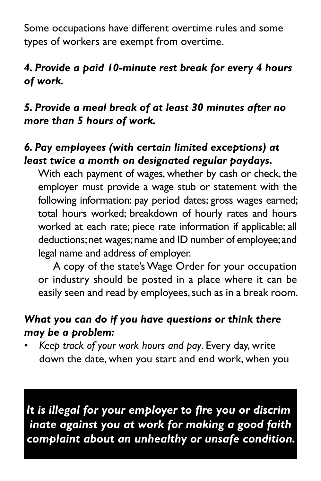Some occupations have different overtime rules and some types of workers are exempt from overtime.

### *4. Provide a paid 10-minute rest break for every 4 hours of work.*

#### *5. Provide a meal break of at least 30 minutes after no more than 5 hours of work.*

### *6. Pay employees (with certain limited exceptions) at least twice a month on designated regular paydays.*

 With each payment of wages, whether by cash or check, the employer must provide a wage stub or statement with the following information: pay period dates; gross wages earned; total hours worked; breakdown of hourly rates and hours worked at each rate; piece rate information if applicable; all deductions; net wages; name and ID number of employee; and legal name and address of employer.

easily seen and read by employees, such as in a break room. A copy of the state's Wage Order for your occupation or industry should be posted in a place where it can be

#### *What you can do if you have questions or think there may be a problem:*

• *Keep track of your work hours and pay*. Every day, write down the date, when you start and end work, when you

*It is illegal for your employer to fire you or discrim inate against you at work for making a good faith complaint about an unhealthy or unsafe condition.*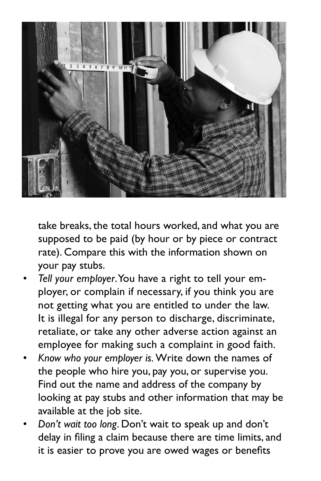

take breaks, the total hours worked, and what you are supposed to be paid (by hour or by piece or contract rate). Compare this with the information shown on your pay stubs.

- *Tell your employer*.You have a right to tell your employer, or complain if necessary, if you think you are not getting what you are entitled to under the law. It is illegal for any person to discharge, discriminate, retaliate, or take any other adverse action against an employee for making such a complaint in good faith.
- *Know who your employer is.* Write down the names of the people who hire you, pay you, or supervise you. Find out the name and address of the company by looking at pay stubs and other information that may be available at the job site.
- *Don't wait too long*. Don't wait to speak up and don't delay in filing a claim because there are time limits, and it is easier to prove you are owed wages or benefits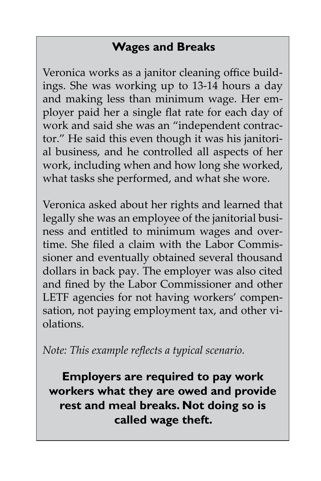## **Wages and Breaks**

Veronica works as a janitor cleaning office buildings. She was working up to 13-14 hours a day and making less than minimum wage. Her employer paid her a single flat rate for each day of work and said she was an "independent contractor." He said this even though it was his janitorial business, and he controlled all aspects of her work, including when and how long she worked, what tasks she performed, and what she wore.

Veronica asked about her rights and learned that legally she was an employee of the janitorial business and entitled to minimum wages and overtime. She filed a claim with the Labor Commissioner and eventually obtained several thousand dollars in back pay. The employer was also cited and fined by the Labor Commissioner and other LETF agencies for not having workers' compensation, not paying employment tax, and other violations.

*Note: This example reflects a typical scenario.* 

**Employers are required to pay work workers what they are owed and provide rest and meal breaks. Not doing so is called wage theft.**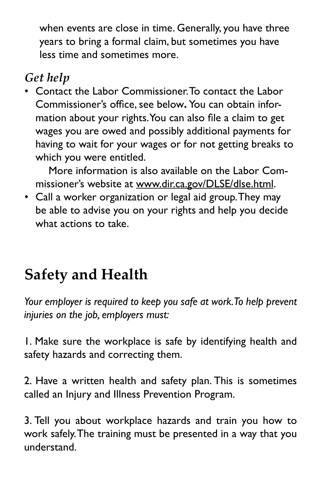when events are close in time. Generally, you have three years to bring a formal claim, but sometimes you have less time and sometimes more.

# *Get help*

• Contact the Labor Commissioner.To contact the Labor Commissioner's office, see below**.** You can obtain information about your rights.You can also file a claim to get wages you are owed and possibly additional payments for having to wait for your wages or for not getting breaks to which you were entitled.

More information is also available on the Labor Commissioner's website at [www.dir.ca.gov/DLSE/dlse.html.](http://www.dir.ca.gov/DLSE/dlse.html)

• Call a worker organization or legal aid group.They may be able to advise you on your rights and help you decide what actions to take.

# **Safety and Health**

*Your employer is required to keep you safe at work.To help prevent injuries on the job, employers must:* 

1. Make sure the workplace is safe by identifying health and safety hazards and correcting them.

2. Have a written health and safety plan. This is sometimes called an Injury and Illness Prevention Program.

3. Tell you about workplace hazards and train you how to work safely.The training must be presented in a way that you understand.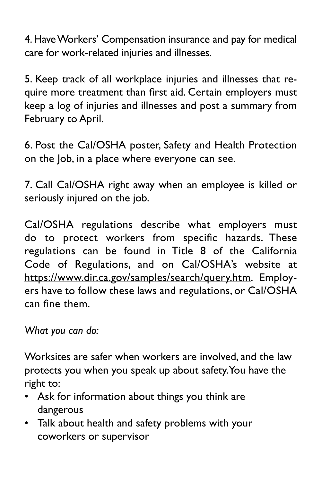4. Have Workers' Compensation insurance and pay for medical care for work-related injuries and illnesses.

5. Keep track of all workplace injuries and illnesses that require more treatment than first aid. Certain employers must keep a log of injuries and illnesses and post a summary from February to April.

 6. Post the Cal/OSHA poster, Safety and Health Protection on the Job, in a place where everyone can see.

7. Call Cal/OSHA right away when an employee is killed or seriously injured on the job.

 do to protect workers from specific hazards. These Cal/OSHA regulations describe what employers must regulations can be found in Title 8 of the California Code of Regulations, and on Cal/OSHA's website at https://www.dir.ca.gov/samples/search/query.htm. Employers have to follow these laws and regulations, or Cal/OSHA can fine them.

*What you can do:* 

Worksites are safer when workers are involved, and the law protects you when you speak up about safety.You have the right to:

- • Ask for information about things you think are dangerous
- Talk about health and safety problems with your coworkers or supervisor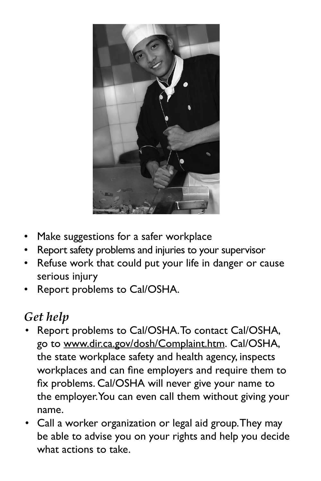

- Make suggestions for a safer workplace
- Report safety problems and injuries to your supervisor
- Refuse work that could put your life in danger or cause serious injury
- Report problems to Cal/OSHA.

# *Get help*

- Report problems to Cal/OSHA.To contact Cal/OSHA, go to [www.dir.ca.gov/dosh/Complaint.htm](http://www.dir.ca.gov/dosh/Complaint.htm). Cal/OSHA, the state workplace safety and health agency, inspects workplaces and can fine employers and require them to fix problems. Cal/OSHA will never give your name to the employer.You can even call them without giving your name.
- Call a worker organization or legal aid group.They may be able to advise you on your rights and help you decide what actions to take.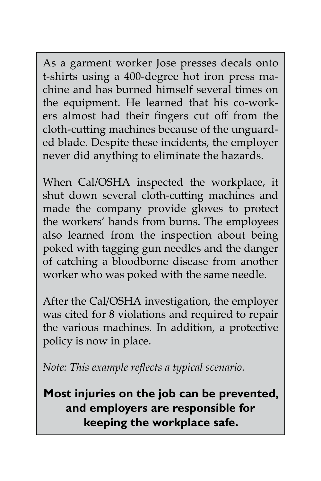As a garment worker Jose presses decals onto t-shirts using a 400-degree hot iron press machine and has burned himself several times on the equipment. He learned that his co-workers almost had their fingers cut off from the cloth-cutting machines because of the unguarded blade. Despite these incidents, the employer never did anything to eliminate the hazards.

When Cal/OSHA inspected the workplace, it shut down several cloth-cutting machines and made the company provide gloves to protect the workers' hands from burns. The employees also learned from the inspection about being poked with tagging gun needles and the danger of catching a bloodborne disease from another worker who was poked with the same needle.

After the Cal/OSHA investigation, the employer was cited for 8 violations and required to repair the various machines. In addition, a protective policy is now in place.

*Note: This example reflects a typical scenario.* 

**Most injuries on the job can be prevented, and employers are responsible for keeping the workplace safe.**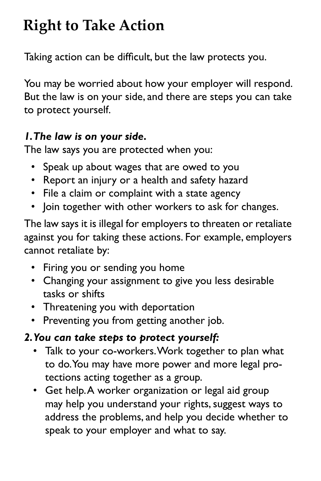# **Right to Take Action**

Taking action can be difficult, but the law protects you.

You may be worried about how your employer will respond. But the law is on your side, and there are steps you can take to protect yourself.

### *1.The law is on your side.*

The law says you are protected when you:

- Speak up about wages that are owed to you
- Report an injury or a health and safety hazard
- File a claim or complaint with a state agency
- Join together with other workers to ask for changes.

 against you for taking these actions. For example, employers The law says it is illegal for employers to threaten or retaliate cannot retaliate by:

- Firing you or sending you home
- Changing your assignment to give you less desirable tasks or shifts
- Threatening you with deportation
- Preventing you from getting another job.
- *2.You can take steps to protect yourself:* 
	- • Talk to your co-workers.Work together to plan what to do.You may have more power and more legal protections acting together as a group.
	- • Get help.A worker organization or legal aid group may help you understand your rights, suggest ways to address the problems, and help you decide whether to speak to your employer and what to say.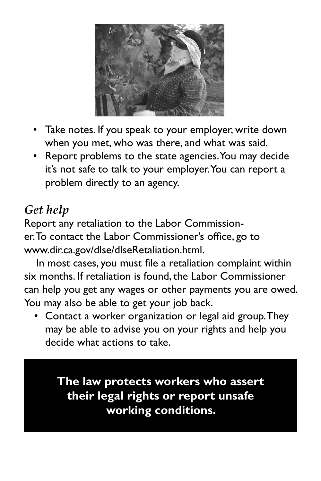

- Take notes. If you speak to your employer, write down when you met, who was there, and what was said.
- • Report problems to the state agencies.You may decide it's not safe to talk to your employer.You can report a problem directly to an agency.

# *Get help*

Report any retaliation to the Labor Commissioner.To contact the Labor Commissioner's office, go to [www.dir.ca.gov/dlse/dlseRetaliation.html.](http://www.dir.ca.gov/dlse/dlseRetaliation.html)

In most cases, you must file a retaliation complaint within six months. If retaliation is found, the Labor Commissioner can help you get any wages or other payments you are owed. You may also be able to get your job back.

 • Contact a worker organization or legal aid group.They may be able to advise you on your rights and help you decide what actions to take.

**The law protects workers who assert their legal rights or report unsafe working conditions.**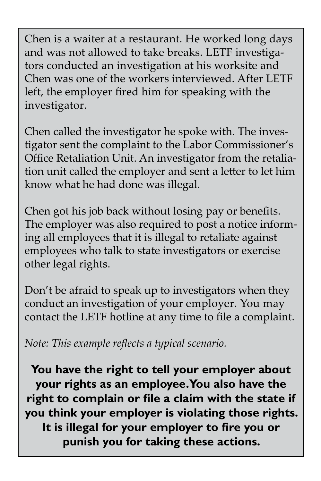Chen is a waiter at a restaurant. He worked long days and was not allowed to take breaks. LETF investigators conducted an investigation at his worksite and Chen was one of the workers interviewed. After LETF left, the employer fired him for speaking with the investigator.

Chen called the investigator he spoke with. The investigator sent the complaint to the Labor Commissioner's Office Retaliation Unit. An investigator from the retaliation unit called the employer and sent a letter to let him know what he had done was illegal.

Chen got his job back without losing pay or benefits. The employer was also required to post a notice informing all employees that it is illegal to retaliate against employees who talk to state investigators or exercise other legal rights.

 conduct an investigation of your employer. You may Don't be afraid to speak up to investigators when they contact the LETF hotline at any time to file a complaint.

*Note: This example reflects a typical scenario.* 

**You have the right to tell your employer about your rights as an employee.You also have the right to complain or file a claim with the state if you think your employer is violating those rights. It is illegal for your employer to fire you or punish you for taking these actions.**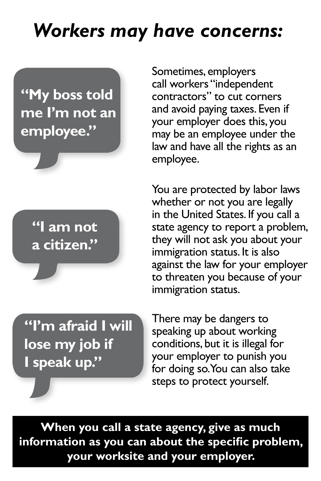# *Workers may have concerns:*

**"My boss told me I'm not an employee."** 

> **"I am not a citizen."**

Sometimes, employers call workers "independent contractors" to cut corners and avoid paying taxes. Even if your employer does this, you may be an employee under the law and have all the rights as an employee.

You are protected by labor laws whether or not you are legally in the United States. If you call a state agency to report a problem, they will not ask you about your immigration status. It is also against the law for your employer to threaten you because of your immigration status.

**"I'm afraid I will lose my job if I speak up."** 

 for doing so.You can also take There may be dangers to speaking up about working conditions, but it is illegal for your employer to punish you steps to protect yourself.

**When you call a state agency, give as much information as you can about the specific problem, your worksite and your employer.**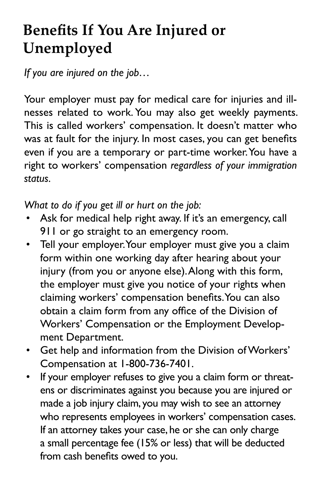# **Benefits If You Are Injured or Unemployed**

*If you are injured on the job…* 

 nesses related to work. You may also get weekly payments. was at fault for the injury. In most cases, you can get benefits Your employer must pay for medical care for injuries and ill-This is called workers' compensation. It doesn't matter who even if you are a temporary or part-time worker.You have a right to workers' compensation *regardless of your immigration status.* 

*What to do if you get ill or hurt on the job:* 

- Ask for medical help right away. If it's an emergency, call 911 or go straight to an emergency room.
- • Tell your employer.Your employer must give you a claim injury (from you or anyone else).Along with this form, form within one working day after hearing about your the employer must give you notice of your rights when claiming workers' compensation benefits.You can also obtain a claim form from any office of the Division of Workers' Compensation or the Employment Development Department.
- Get help and information from the Division of Workers' Compensation at 1-800-736-7401.
- If your employer refuses to give you a claim form or threatens or discriminates against you because you are injured or made a job injury claim, you may wish to see an attorney who represents employees in workers' compensation cases. If an attorney takes your case, he or she can only charge a small percentage fee (15% or less) that will be deducted from cash benefits owed to you.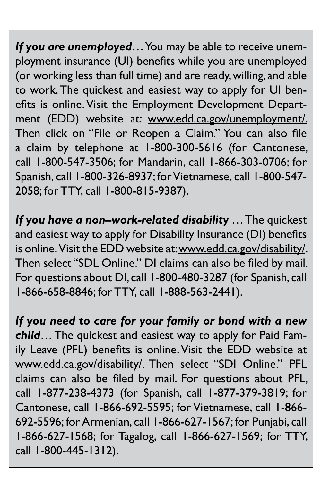(or working less than full time) and are ready, willing, and able call 1-800-547-3506; for Mandarin, call 1-866-303-0706; for Spanish, call 1-800-326-8937; for Vietnamese, call 1-800-547- 2058; for TTY, call 1-800-815-9387). *If you are unemployed*… You may be able to receive unemployment insurance (UI) benefits while you are unemployed to work.The quickest and easiest way to apply for UI benefits is online. Visit the Employment Development Department (EDD) website at: [www.edd.ca.gov/unemployment](http://www.edd.ca.gov/unemployment)/. Then click on "File or Reopen a Claim." You can also file a claim by telephone at 1-800-300-5616 (for Cantonese,

is online. Visit the EDD website at: [www.edd.ca.gov/disability](http://www.edd.ca.gov/disability)/. For questions about DI,call 1-800-480-3287 (for Spanish,call *If you have a non–work-related disability* … The quickest and easiest way to apply for Disability Insurance (DI) benefits Then select "SDL Online." DI claims can also be filed by mail. 1-866-658-8846; for TTY, call 1-888-563-2441).

 claims can also be filed by mail. For questions about PFL, call 1-877-238-4373 (for Spanish, call 1-877-379-3819; for Cantonese, call 1-866-692-5595; for Vietnamese, call 1-866- 692-5596; for Armenian, call 1-866-627-1567; for Punjabi, call 1-866-627-1568; for Tagalog, call 1-866-627-1569; for TTY, *If you need to care for your family or bond with a new child*… The quickest and easiest way to apply for Paid Family Leave (PFL) benefits is online. Visit the EDD website at [www.edd.ca.gov/disability](http://www.edd.ca.gov/disability)/. Then select "SDI Online." PFL call 1-800-445-1312).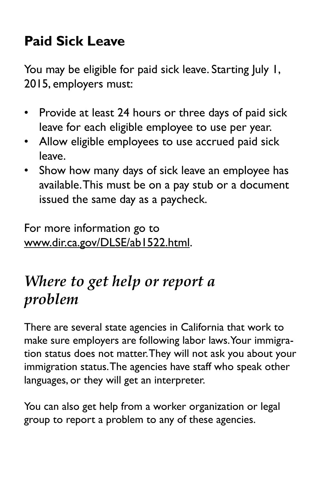# **Paid Sick Leave**

You may be eligible for paid sick leave. Starting July 1, 2015, employers must:

- Provide at least 24 hours or three days of paid sick leave for each eligible employee to use per year.
- Allow eligible employees to use accrued paid sick leave.
- Show how many days of sick leave an employee has available.This must be on a pay stub or a document issued the same day as a paycheck.

For more information go to [www.dir.ca.gov/DLSE/ab1522.html](http://www.dir.ca.gov/DLSE/ab1522.html).

# *Where to get help or report a problem*

There are several state agencies in California that work to make sure employers are following labor laws.Your immigration status does not matter.They will not ask you about your immigration status.The agencies have staff who speak other languages, or they will get an interpreter.

You can also get help from a worker organization or legal group to report a problem to any of these agencies.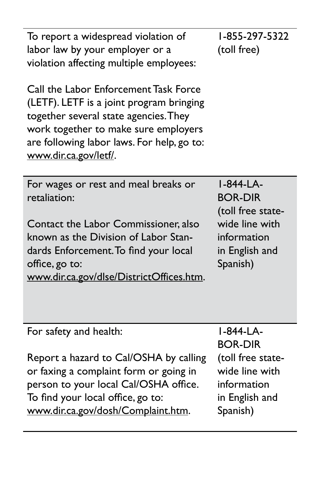| To report a widespread violation of<br>labor law by your employer or a<br>violation affecting multiple employees:                                                                                                                           | 1-855-297-5322<br>(toll free)                                                                                   |
|---------------------------------------------------------------------------------------------------------------------------------------------------------------------------------------------------------------------------------------------|-----------------------------------------------------------------------------------------------------------------|
| Call the Labor Enforcement Task Force<br>(LETF). LETF is a joint program bringing<br>together several state agencies. They<br>work together to make sure employers<br>are following labor laws. For help, go to:<br>www.dir.ca.gov/letf/.   |                                                                                                                 |
| For wages or rest and meal breaks or<br>retaliation:<br>Contact the Labor Commissioner, also<br>known as the Division of Labor Stan-<br>dards Enforcement. To find your local<br>office, go to:<br>www.dir.ca.gov/dlse/DistrictOffices.htm. | I-844-LA-<br><b>BOR-DIR</b><br>(toll free state-<br>wide line with<br>information<br>in English and<br>Spanish) |
|                                                                                                                                                                                                                                             |                                                                                                                 |
| For safety and health:                                                                                                                                                                                                                      | I-844-LA-                                                                                                       |
|                                                                                                                                                                                                                                             | <b>BOR-DIR</b>                                                                                                  |
| Report a hazard to Cal/OSHA by calling                                                                                                                                                                                                      | (toll free state-                                                                                               |
| or faxing a complaint form or going in                                                                                                                                                                                                      | wide line with                                                                                                  |
| person to your local Cal/OSHA office.                                                                                                                                                                                                       | information                                                                                                     |

To find your local office, go to: [www.dir.ca.gov/dosh/Complaint.htm.](http://www.dir.ca.gov/dosh/Complaint.htm) information in English and Spanish)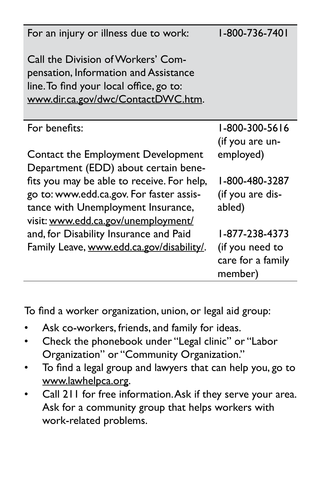| For an injury or illness due to work:                                                                                                                               | 1-800-736-7401                                                    |
|---------------------------------------------------------------------------------------------------------------------------------------------------------------------|-------------------------------------------------------------------|
| Call the Division of Workers' Com-<br>pensation, Information and Assistance<br>line. To find your local office, go to:<br>www.dir.ca.gov/dwc/ContactDWC.htm.        |                                                                   |
| For benefits:                                                                                                                                                       | 1-800-300-5616<br>(if you are un-                                 |
| Contact the Employment Development<br>Department (EDD) about certain bene-                                                                                          | employed)                                                         |
| fits you may be able to receive. For help,<br>go to: www.edd.ca.gov. For faster assis-<br>tance with Unemployment Insurance,<br>visit: www.edd.ca.gov/unemployment/ | 1-800-480-3287<br>(if you are dis-<br>abled)                      |
| and, for Disability Insurance and Paid<br>Family Leave, www.edd.ca.gov/disability/.                                                                                 | 1-877-238-4373<br>(if you need to<br>care for a family<br>member) |

To find a worker organization, union, or legal aid group:

- Ask co-workers, friends, and family for ideas.
- Check the phonebook under "Legal clinic" or "Labor Organization" or "Community Organization."
- To find a legal group and lawyers that can help you, go to [www.lawhelpca.org](http://www.lawhelpca.org).
- • Call 211 for free information.Ask if they serve your area. Ask for a community group that helps workers with work-related problems.